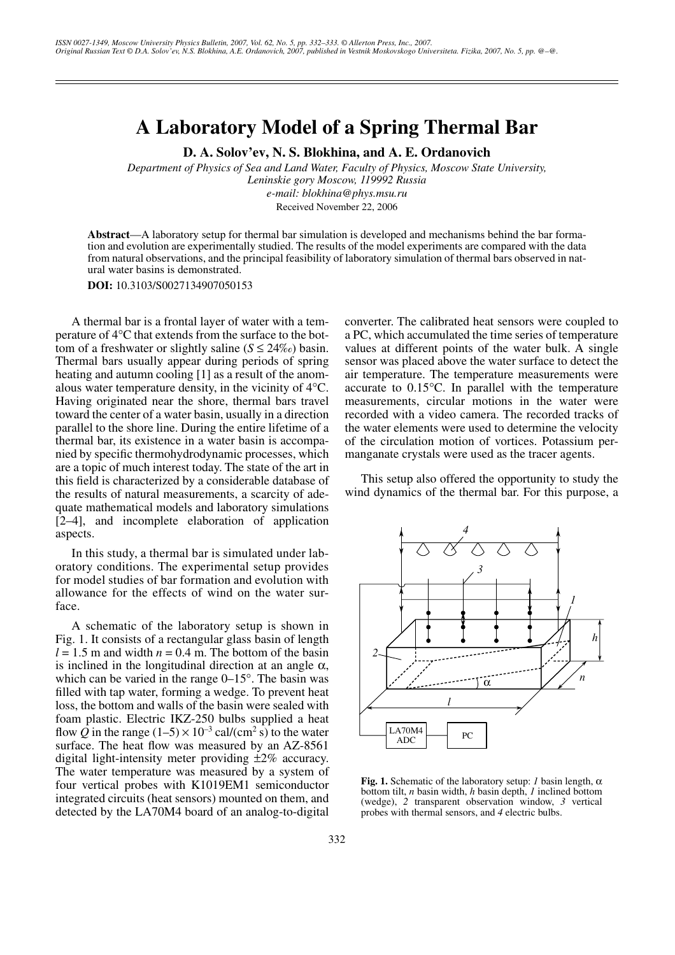## **A Laboratory Model of a Spring Thermal Bar**

**D. A. Solov'ev, N. S. Blokhina, and A. E. Ordanovich**

*Department of Physics of Sea and Land Water, Faculty of Physics, Moscow State University, Leninskie gory Moscow, 119992 Russia e-mail: blokhina@phys.msu.ru* Received November 22, 2006

**Abstract**—A laboratory setup for thermal bar simulation is developed and mechanisms behind the bar formation and evolution are experimentally studied. The results of the model experiments are compared with the data from natural observations, and the principal feasibility of laboratory simulation of thermal bars observed in natural water basins is demonstrated.

**DOI:** 10.3103/S0027134907050153

A thermal bar is a frontal layer of water with a temperature of 4°C that extends from the surface to the bottom of a freshwater or slightly saline  $(S \le 24\%)$  basin. Thermal bars usually appear during periods of spring heating and autumn cooling [1] as a result of the anomalous water temperature density, in the vicinity of 4°C. Having originated near the shore, thermal bars travel toward the center of a water basin, usually in a direction parallel to the shore line. During the entire lifetime of a thermal bar, its existence in a water basin is accompanied by specific thermohydrodynamic processes, which are a topic of much interest today. The state of the art in this field is characterized by a considerable database of the results of natural measurements, a scarcity of adequate mathematical models and laboratory simulations [2–4], and incomplete elaboration of application aspects.

In this study, a thermal bar is simulated under laboratory conditions. The experimental setup provides for model studies of bar formation and evolution with allowance for the effects of wind on the water surface.

A schematic of the laboratory setup is shown in Fig. 1. It consists of a rectangular glass basin of length  $l = 1.5$  m and width  $n = 0.4$  m. The bottom of the basin is inclined in the longitudinal direction at an angle  $\alpha$ , which can be varied in the range 0–15°. The basin was filled with tap water, forming a wedge. To prevent heat loss, the bottom and walls of the basin were sealed with foam plastic. Electric IKZ-250 bulbs supplied a heat flow  $\overline{Q}$  in the range  $(1-5) \times 10^{-3}$  cal/(cm<sup>2</sup> s) to the water surface. The heat flow was measured by an AZ-8561 digital light-intensity meter providing ±2% accuracy. The water temperature was measured by a system of four vertical probes with K1019EM1 semiconductor integrated circuits (heat sensors) mounted on them, and detected by the LA70M4 board of an analog-to-digital converter. The calibrated heat sensors were coupled to a PC, which accumulated the time series of temperature values at different points of the water bulk. A single sensor was placed above the water surface to detect the air temperature. The temperature measurements were accurate to 0.15°C. In parallel with the temperature measurements, circular motions in the water were recorded with a video camera. The recorded tracks of the water elements were used to determine the velocity of the circulation motion of vortices. Potassium permanganate crystals were used as the tracer agents.

This setup also offered the opportunity to study the wind dynamics of the thermal bar. For this purpose, a



**Fig. 1.** Schematic of the laboratory setup: *1* basin length,  $\alpha$ bottom tilt, *n* basin width, *h* basin depth, *1* inclined bottom (wedge), *2* transparent observation window, *3* vertical probes with thermal sensors, and *4* electric bulbs.